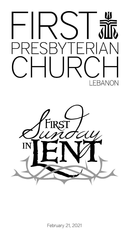



February 21, 2021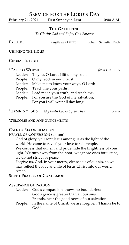# Service for the Lord's Day

February 21, 2021 First Sunday in Lent 10:00 A.M.

### The Gathering

*To Glorify God and Enjoy God Forever*

PRELUDE *Fugue in D minor* Johann Sebastian Bach

Chiming the Hour

## Choral Introit

## \*Call to Worship *from Psalm 25*

| Leader: To you, O Lord, I lift up my soul.   |
|----------------------------------------------|
| People: O my God, in you I trust.            |
| Leader: Make me to know your ways, O Lord;   |
| People: Teach me your paths.                 |
| Leader: Lead me in your truth, and teach me, |
| People: For you are the God of my salvation; |
|                                              |

For you I will wait all day long.

\*Hymn No. 383 *My Faith Looks Up to Thee* olivet

### Welcome and Announcements

## Call to Reconciliation

PRAYER OF CONFESSION (unison)

God of glory, you sent Jesus among us as the light of the world. He came to reveal your love for all people. We confess that our sin and pride hide the brightness of your light. We turn away from the poor; we ignore cries for justice; we do not strive for peace.

Forgive us, God. In your mercy, cleanse us of our sin, so we may reflect the love and life of Jesus Christ into our world. Amen.

## Silent Prayers of Confession

#### Assurance of Pardon

| Leader: God's compassion knows no boundaries;         |
|-------------------------------------------------------|
| God's grace is greater than all our sins.             |
| Friends, hear the good news of our salvation:         |
| People: In the name of Christ, we are forgiven Thanks |

r eople: In the name of Christ, we are forgiven. Thanks be to God!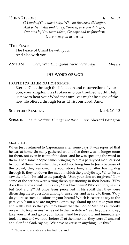## $*$ Sung Response  $\blacksquare$

*O Lamb of God most holy! Who on the cross did suffer, And patient still and lowly, Yourself to scorn did offer; Our sins by You were taken, Or hope had us forsaken; Have mercy on us, Jesus!*

## \*The Peace

The Peace of Christ be with you. And also with you.

Anthem *Lord, Who Throughout These Forty Days* Meyers

## The Word of God

## PRAYER FOR ILLUMINATION (UNISON)

Eternal God, through the life, death and resurrection of your Son, your kingdom has broken into our troubled world. Help us now to hear your Word that our lives might be signs of the new life offered through Jesus Christ our Lord. Amen.

SCRIPTURE READING Mark 2:1-12

Sermon *Faith Healing: Through the Roof* Rev. Sherard Edington

## Mark 2:1-12

When Jesus returned to Capernaum after some days, it was reported that he was at home. So many gathered around that there was no longer room for them, not even in front of the door; and he was speaking the word to them. Then some people came, bringing to him a paralyzed man, carried by four of them. And when they could not bring him to Jesus because of the crowd, they removed the roof above him; and after having dug through it, they let down the mat on which the paralytic lay. When Jesus saw their faith, he said to the paralytic, "Son, your sins are forgiven." Now some of the scribes were sitting there, questioning in their hearts, "Why does this fellow speak in this way? It is blasphemy! Who can forgive sins but God alone?" At once Jesus perceived in his spirit that they were discussing these questions among themselves; and he said to them, "Why do you raise such questions in your hearts? Which is easier, to say to the paralytic, 'Your sins are forgiven,' or to say, 'Stand up and take your mat and walk'? But so that you may know that the Son of Man has authority on earth to forgive sins" —he said to the paralytic— "I say to you, stand up, take your mat and go to your home." And he stood up, and immediately took the mat and went out before all of them; so that they were all amazed and glorified God, saying, "We have never seen anything like this!"

<sup>\*</sup> Those who are able are invited to stand.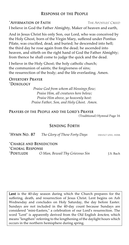## Response of the People

## \*Affirmation of Faith The Apostles' Creed

I believe in God the Father Almighty, Maker of heaven and earth,

And in Jesus Christ his only Son, our Lord, who was conceived by the Holy Ghost, born of the Virgin Mary, suffered under Pontius Pilate, was crucified, dead, and buried; he descended into hell; the third day he rose again from the dead; he ascended into heaven, and sitteth on the right hand of God the Father Almighty; from thence he shall come to judge the quick and the dead.

I believe in the Holy Ghost; the holy catholic church; the communion of saints; the forgiveness of sins; the resurrection of the body; and the life everlasting. Amen.

## Offertory Prayer \*Doxology

*Praise God from whom all blessings flow; Praise Him, all creatures here below; Praise Him above, ye heavenly host: Praise Father, Son, and Holy Ghost. Amen.*

## Prayers of the People and the Lord's Prayer

(Traditional) Hymnal Page 16

## Sending Forth

| *Hymn No. 87                                | The Glory of These Forty Days  | ERHALT UNS, HERR |
|---------------------------------------------|--------------------------------|------------------|
| *CHARGE AND BENEDICTION<br>*CHORAL RESPONSE |                                |                  |
|                                             |                                |                  |
| *Postlude                                   | O Man, Bewail Thy Grievous Sin | J.S. Bach        |
|                                             |                                |                  |

Lent is the 40-day season during which the Church prepares for the suffering, death, and resurrection of Jesus Christ. Lent begins on Ash Wednesday and concludes on Holy Saturday, the day before Easter. Sundays are not included in the 40-day count because Sundays are considered "mini-Easters," a celebration of our Lord's resurrection. The word "Lent" is apparently derived from the Old English *lencten*, which means "lengthen" referring to the lengthening of the daylight hours which occurs in the northern hemisphere during spring.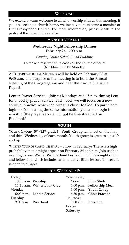## Welcome

We extend a warm welcome to all who worship with us this morning. If you are seeking a church home, we invite you to become a member of First Presbyterian Church. For more information, please speak to the pastor at the close of the service.

### Announcements

# **Wednesday Night Fellowship Dinner**

February 24, 6:00 p.m.

*Gumbo, Potato Salad, Bread Pudding*

To make a reservation, please call the church office at (615)444-1360 by Monday.

A CONGREGATIONAL MEETING will be held on February 28 at 9:45 a.m. The purpose of the meeting is to hold the Annual Meeting of the Congregation and hear the Annual Statistical Report.

Lenten Prayer Service – Join us Mondays at 6:45 p.m. during Lent for a weekly prayer service. Each week we will focus on a new spiritual practice which can bring us closer to God. To participate, login to Zoom using the same information you use to login to worship (the prayer service will not be live-streamed on Facebook).

## **YOUTH**

YOUTH GROUP ( $5<sup>th</sup> -12<sup>th</sup>$  grade) – Youth Group will meet on the first and third Wednesday of each month. Youth group is open to ages 10 and up.

Winter Wonderland Festival – Snow in February? There is a high probability that it might appear on February 24 at 6 p.m. Join us that evening for our Winter Wonderland Festival. It will be a night of fun and fellowship which includes an interactive Bible lesson. This event is open to all ages.

## This Week at FPC

| Today               |                             |  |  |  |
|---------------------|-----------------------------|--|--|--|
| 10:00 a.m. Worship  |                             |  |  |  |
|                     | 11:10 a.m. Winter Book Club |  |  |  |
| Monday              |                             |  |  |  |
|                     | 6:00 p.m. Lenten Service    |  |  |  |
| Tuesday             |                             |  |  |  |
| 9:00 a.m. Preschool |                             |  |  |  |
|                     |                             |  |  |  |

#### Wednesday

Noon Bible Study 6:00 p.m. Fellowship Meal 6:00 p.m. Youth Group 6:30 p.m. Choir Practice Thursday 9:00 a.m. Preschool Friday Saturday